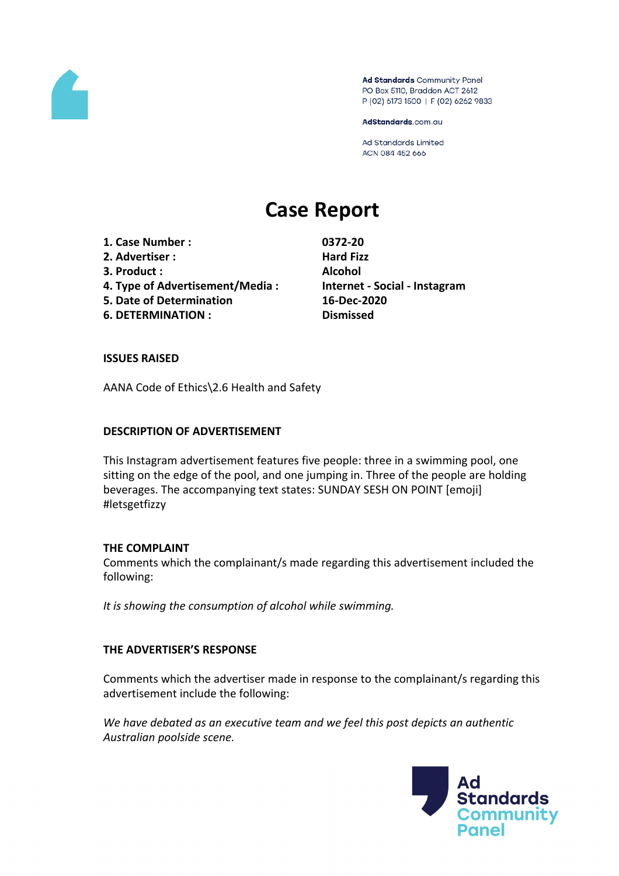

Ad Standards Community Panel PO Box 5110, Braddon ACT 2612 P (02) 6173 1500 | F (02) 6262 9833

AdStandards.com.au

Ad Standards Limited ACN 084 452 666

# **Case Report**

- **1. Case Number : 0372-20**
- **2. Advertiser : Hard Fizz**
- **3. Product : Alcohol**
- **4. Type of Advertisement/Media : Internet - Social - Instagram**
- **5. Date of Determination 16-Dec-2020**
- **6. DETERMINATION : Dismissed**

# **ISSUES RAISED**

AANA Code of Ethics\2.6 Health and Safety

## **DESCRIPTION OF ADVERTISEMENT**

This Instagram advertisement features five people: three in a swimming pool, one sitting on the edge of the pool, and one jumping in. Three of the people are holding beverages. The accompanying text states: SUNDAY SESH ON POINT [emoji] #letsgetfizzy

## **THE COMPLAINT**

Comments which the complainant/s made regarding this advertisement included the following:

*It is showing the consumption of alcohol while swimming.*

# **THE ADVERTISER'S RESPONSE**

Comments which the advertiser made in response to the complainant/s regarding this advertisement include the following:

*We have debated as an executive team and we feel this post depicts an authentic Australian poolside scene.*

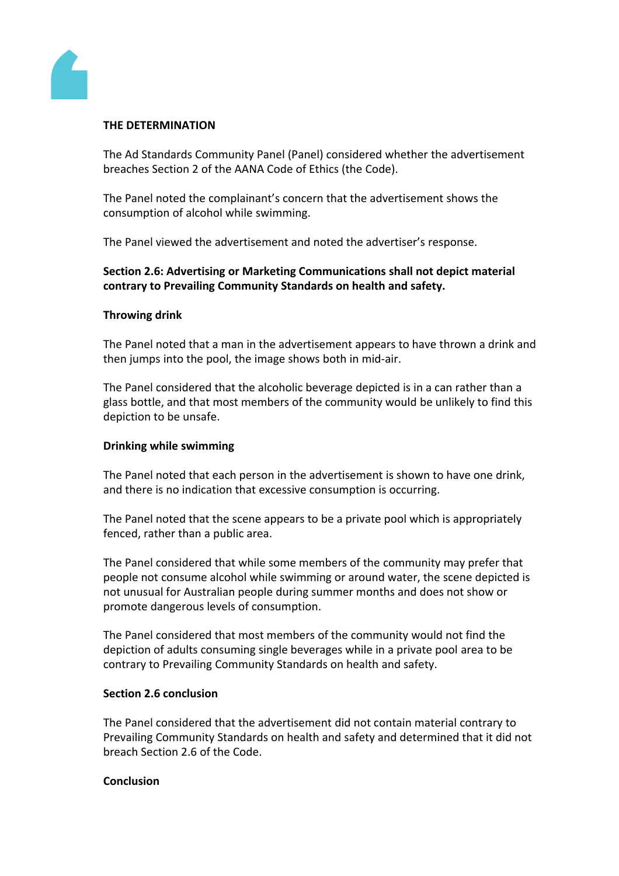

## **THE DETERMINATION**

The Ad Standards Community Panel (Panel) considered whether the advertisement breaches Section 2 of the AANA Code of Ethics (the Code).

The Panel noted the complainant's concern that the advertisement shows the consumption of alcohol while swimming.

The Panel viewed the advertisement and noted the advertiser's response.

# **Section 2.6: Advertising or Marketing Communications shall not depict material contrary to Prevailing Community Standards on health and safety.**

### **Throwing drink**

The Panel noted that a man in the advertisement appears to have thrown a drink and then jumps into the pool, the image shows both in mid-air.

The Panel considered that the alcoholic beverage depicted is in a can rather than a glass bottle, and that most members of the community would be unlikely to find this depiction to be unsafe.

#### **Drinking while swimming**

The Panel noted that each person in the advertisement is shown to have one drink, and there is no indication that excessive consumption is occurring.

The Panel noted that the scene appears to be a private pool which is appropriately fenced, rather than a public area.

The Panel considered that while some members of the community may prefer that people not consume alcohol while swimming or around water, the scene depicted is not unusual for Australian people during summer months and does not show or promote dangerous levels of consumption.

The Panel considered that most members of the community would not find the depiction of adults consuming single beverages while in a private pool area to be contrary to Prevailing Community Standards on health and safety.

#### **Section 2.6 conclusion**

The Panel considered that the advertisement did not contain material contrary to Prevailing Community Standards on health and safety and determined that it did not breach Section 2.6 of the Code.

#### **Conclusion**